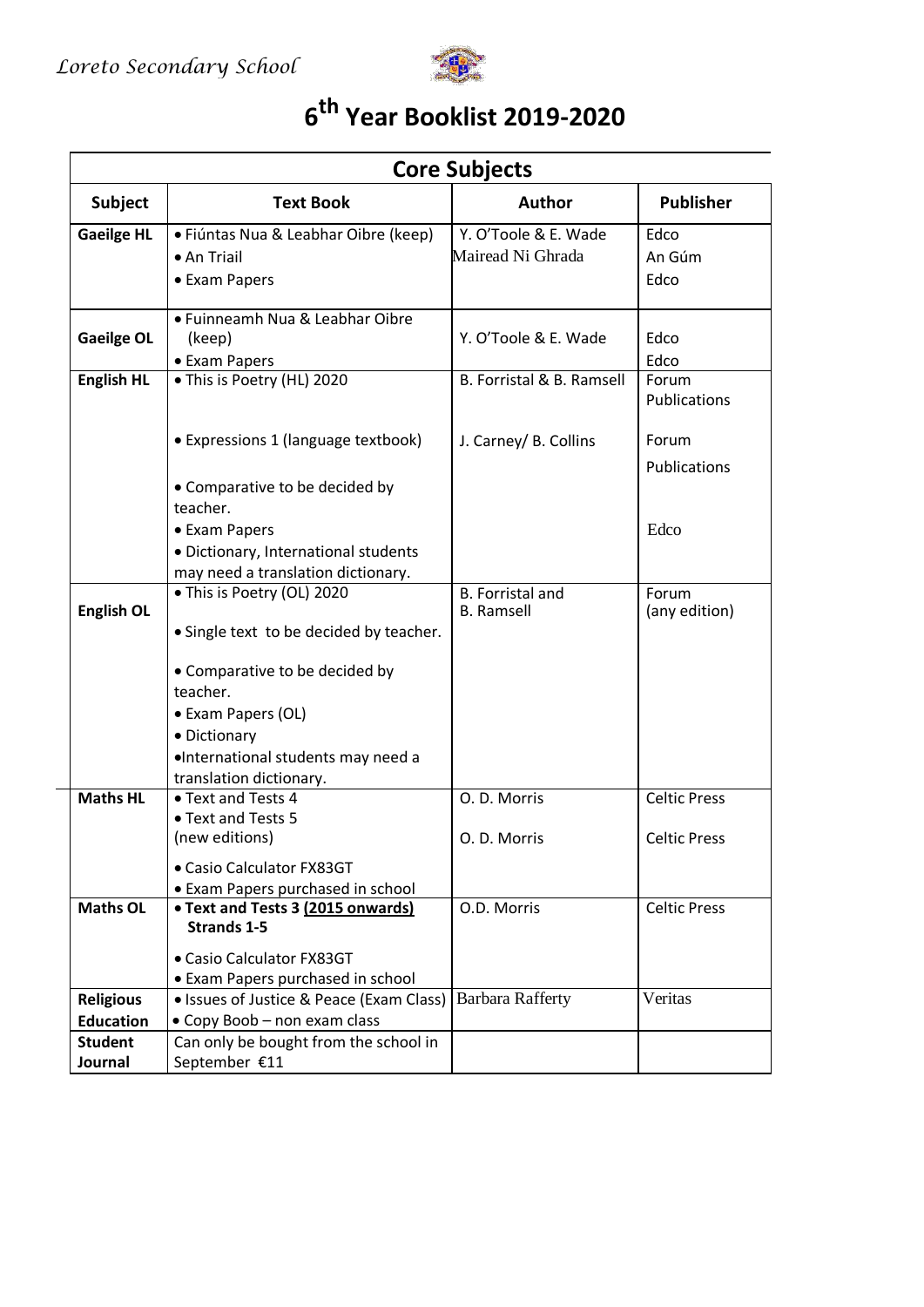

## **6 th Year Booklist 2019-2020**

| <b>Core Subjects</b> |                                            |                                              |                        |  |
|----------------------|--------------------------------------------|----------------------------------------------|------------------------|--|
| <b>Subject</b>       | <b>Text Book</b>                           | <b>Author</b>                                | <b>Publisher</b>       |  |
| <b>Gaeilge HL</b>    | · Fiúntas Nua & Leabhar Oibre (keep)       | Y. O'Toole & E. Wade                         | Edco                   |  |
|                      | • An Triail                                | Mairead Ni Ghrada                            | An Gúm                 |  |
|                      | • Exam Papers                              |                                              | Edco                   |  |
| <b>Gaeilge OL</b>    | • Fuinneamh Nua & Leabhar Oibre<br>(keep)  | Y. O'Toole & E. Wade                         | Edco                   |  |
|                      | • Exam Papers                              | B. Forristal & B. Ramsell                    | Edco                   |  |
| <b>English HL</b>    | • This is Poetry (HL) 2020                 |                                              | Forum<br>Publications  |  |
|                      | • Expressions 1 (language textbook)        | J. Carney/ B. Collins                        | Forum                  |  |
|                      |                                            |                                              | Publications           |  |
|                      | • Comparative to be decided by             |                                              |                        |  |
|                      | teacher.                                   |                                              |                        |  |
|                      | • Exam Papers                              |                                              | Edco                   |  |
|                      | · Dictionary, International students       |                                              |                        |  |
|                      | may need a translation dictionary.         |                                              |                        |  |
| <b>English OL</b>    | • This is Poetry (OL) 2020                 | <b>B.</b> Forristal and<br><b>B.</b> Ramsell | Forum<br>(any edition) |  |
|                      | • Single text to be decided by teacher.    |                                              |                        |  |
|                      | • Comparative to be decided by<br>teacher. |                                              |                        |  |
|                      | • Exam Papers (OL)                         |                                              |                        |  |
|                      | · Dictionary                               |                                              |                        |  |
|                      | ·International students may need a         |                                              |                        |  |
|                      | translation dictionary.                    |                                              |                        |  |
| <b>Maths HL</b>      | • Text and Tests 4                         | O. D. Morris                                 | <b>Celtic Press</b>    |  |
|                      | • Text and Tests 5                         |                                              |                        |  |
|                      | (new editions)                             | O. D. Morris                                 | <b>Celtic Press</b>    |  |
|                      | • Casio Calculator FX83GT                  |                                              |                        |  |
|                      | • Exam Papers purchased in school          |                                              |                        |  |
| <b>Maths OL</b>      | • Text and Tests 3 (2015 onwards)          | O.D. Morris                                  | <b>Celtic Press</b>    |  |
|                      | <b>Strands 1-5</b>                         |                                              |                        |  |
|                      | • Casio Calculator FX83GT                  |                                              |                        |  |
|                      | • Exam Papers purchased in school          |                                              |                        |  |
| <b>Religious</b>     | • Issues of Justice & Peace (Exam Class)   | <b>Barbara Rafferty</b>                      | Veritas                |  |
| <b>Education</b>     | • Copy Boob - non exam class               |                                              |                        |  |
| <b>Student</b>       | Can only be bought from the school in      |                                              |                        |  |
| Journal              | September €11                              |                                              |                        |  |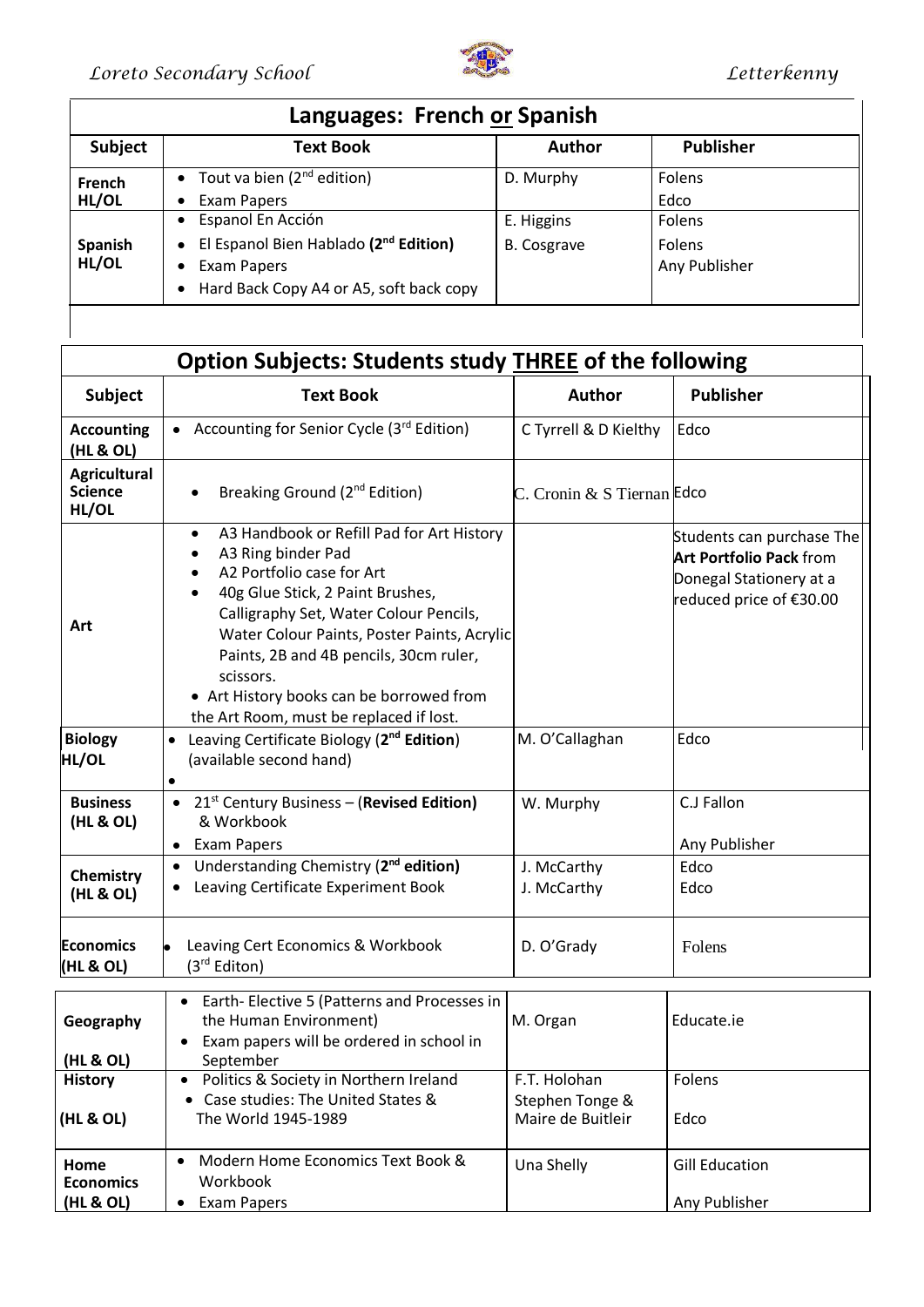

| Languages: French or Spanish |                                                                |                    |                  |  |  |  |
|------------------------------|----------------------------------------------------------------|--------------------|------------------|--|--|--|
| Subject                      | <b>Text Book</b>                                               | <b>Author</b>      | <b>Publisher</b> |  |  |  |
| French                       | Tout va bien (2 <sup>nd</sup> edition)<br>$\bullet$            | D. Murphy          | Folens           |  |  |  |
| HL/OL                        | Exam Papers<br>٠                                               |                    | Edco             |  |  |  |
| Spanish<br>HL/OL             | • Espanol En Acción                                            | E. Higgins         | Folens           |  |  |  |
|                              | El Espanol Bien Hablado (2 <sup>nd</sup> Edition)<br>$\bullet$ | <b>B.</b> Cosgrave | <b>Folens</b>    |  |  |  |
|                              | <b>Exam Papers</b><br>$\bullet$                                |                    | Any Publisher    |  |  |  |
|                              | Hard Back Copy A4 or A5, soft back copy<br>$\bullet$           |                    |                  |  |  |  |

| <b>Option Subjects: Students study THREE of the following</b> |                                                                                                                                                                                                                                                                                                                                                                                      |                                                      |                                                                                                                   |  |  |
|---------------------------------------------------------------|--------------------------------------------------------------------------------------------------------------------------------------------------------------------------------------------------------------------------------------------------------------------------------------------------------------------------------------------------------------------------------------|------------------------------------------------------|-------------------------------------------------------------------------------------------------------------------|--|--|
| <b>Subject</b>                                                | <b>Text Book</b>                                                                                                                                                                                                                                                                                                                                                                     | <b>Author</b>                                        | <b>Publisher</b>                                                                                                  |  |  |
| <b>Accounting</b><br>(HL & OL)                                | Accounting for Senior Cycle (3rd Edition)<br>$\bullet$                                                                                                                                                                                                                                                                                                                               | C Tyrrell & D Kielthy                                | Edco                                                                                                              |  |  |
| <b>Agricultural</b><br><b>Science</b><br>HL/OL                | Breaking Ground (2 <sup>nd</sup> Edition)                                                                                                                                                                                                                                                                                                                                            | C. Cronin & S Tiernan Edco                           |                                                                                                                   |  |  |
| Art                                                           | A3 Handbook or Refill Pad for Art History<br>$\bullet$<br>A3 Ring binder Pad<br>A2 Portfolio case for Art<br>40g Glue Stick, 2 Paint Brushes,<br>Calligraphy Set, Water Colour Pencils,<br>Water Colour Paints, Poster Paints, Acrylic<br>Paints, 2B and 4B pencils, 30cm ruler,<br>scissors.<br>• Art History books can be borrowed from<br>the Art Room, must be replaced if lost. |                                                      | Students can purchase The<br><b>Art Portfolio Pack from</b><br>Donegal Stationery at a<br>reduced price of €30.00 |  |  |
| <b>Biology</b><br><b>HL/OL</b>                                | Leaving Certificate Biology (2 <sup>nd</sup> Edition)<br>$\bullet$<br>(available second hand)<br>$\bullet$                                                                                                                                                                                                                                                                           | M. O'Callaghan                                       | Edco                                                                                                              |  |  |
| <b>Business</b><br>(HL & OL)                                  | • 21st Century Business - (Revised Edition)<br>& Workbook<br>• Exam Papers                                                                                                                                                                                                                                                                                                           | W. Murphy                                            | C.J Fallon<br>Any Publisher                                                                                       |  |  |
| Chemistry<br>(HL & OL)                                        | Understanding Chemistry (2 <sup>nd</sup> edition)<br>$\bullet$<br>Leaving Certificate Experiment Book                                                                                                                                                                                                                                                                                | J. McCarthy<br>J. McCarthy                           | Edco<br>Edco                                                                                                      |  |  |
| <b>Economics</b><br>(HL & OL)                                 | Leaving Cert Economics & Workbook<br>(3 <sup>rd</sup> Editon)                                                                                                                                                                                                                                                                                                                        | D. O'Grady                                           | Folens                                                                                                            |  |  |
| Geography<br>(HL & OL)                                        | Earth- Elective 5 (Patterns and Processes in<br>$\bullet$<br>the Human Environment)<br>Exam papers will be ordered in school in<br>September                                                                                                                                                                                                                                         | M. Organ                                             | Educate.ie                                                                                                        |  |  |
| <b>History</b><br>(HL & OL)                                   | Politics & Society in Northern Ireland<br>$\bullet$<br>• Case studies: The United States &<br>The World 1945-1989                                                                                                                                                                                                                                                                    | F.T. Holohan<br>Stephen Tonge &<br>Maire de Buitleir | Folens<br>Edco                                                                                                    |  |  |
| Home<br><b>Economics</b><br>(HL & OL)                         | Modern Home Economics Text Book &<br>$\bullet$<br>Workbook<br><b>Exam Papers</b><br>$\bullet$                                                                                                                                                                                                                                                                                        | Una Shelly                                           | <b>Gill Education</b><br>Any Publisher                                                                            |  |  |